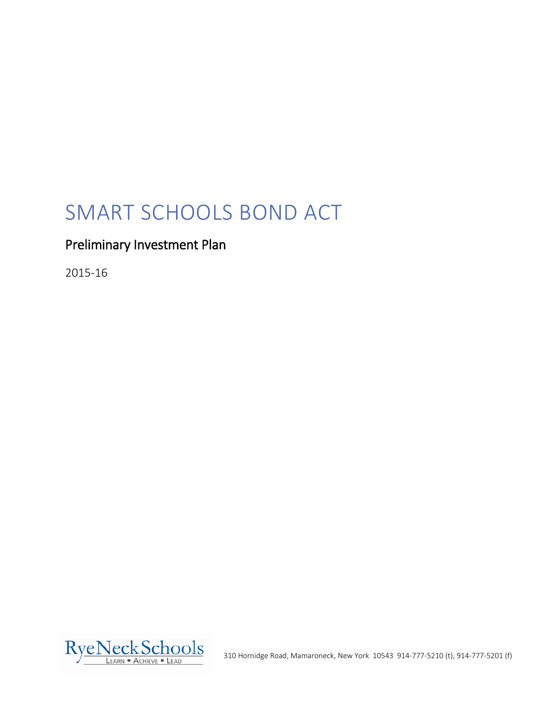# SMART SCHOOLS BOND ACT

# Preliminary Investment Plan

2015-16



310 Hornidge Road, Mamaroneck, New York 10543 914-777-5210 (t), 914-777-5201 (f)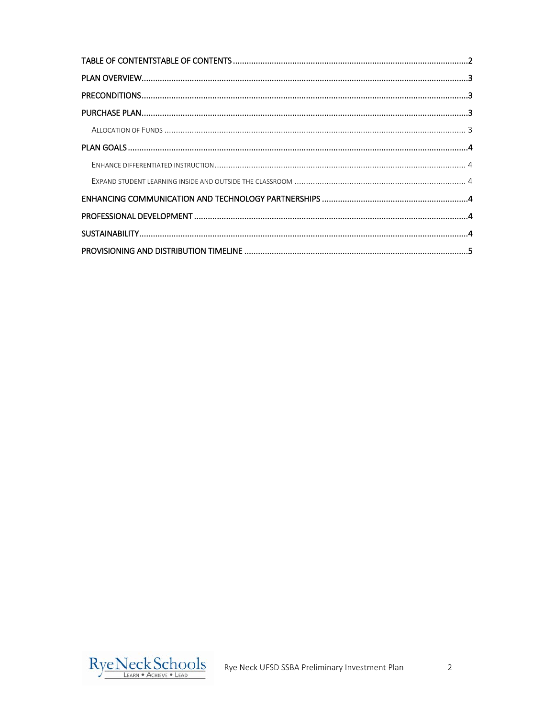<span id="page-1-0"></span>

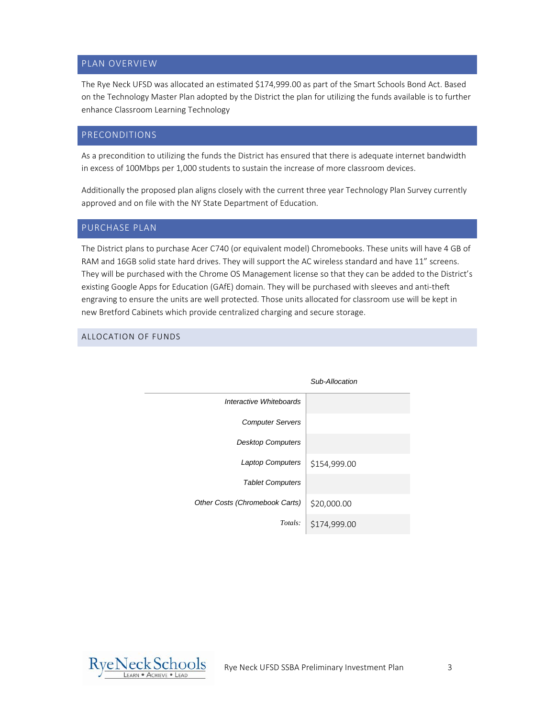# <span id="page-2-0"></span>PLAN OVERVIEW

The Rye Neck UFSD was allocated an estimated \$174,999.00 as part of the Smart Schools Bond Act. Based on the Technology Master Plan adopted by the District the plan for utilizing the funds available is to further enhance Classroom Learning Technology

# <span id="page-2-1"></span>PRECONDITIONS

As a precondition to utilizing the funds the District has ensured that there is adequate internet bandwidth in excess of 100Mbps per 1,000 students to sustain the increase of more classroom devices.

Additionally the proposed plan aligns closely with the current three year Technology Plan Survey currently approved and on file with the NY State Department of Education.

#### <span id="page-2-2"></span>PURCHASE PLAN

The District plans to purchase Acer C740 (or equivalent model) Chromebooks. These units will have 4 GB of RAM and 16GB solid state hard drives. They will support the AC wireless standard and have 11" screens. They will be purchased with the Chrome OS Management license so that they can be added to the District's existing Google Apps for Education (GAfE) domain. They will be purchased with sleeves and anti-theft engraving to ensure the units are well protected. Those units allocated for classroom use will be kept in new Bretford Cabinets which provide centralized charging and secure storage.

### <span id="page-2-3"></span>ALLOCATION OF FUNDS

|                                | Sub-Allocation |
|--------------------------------|----------------|
| Interactive Whiteboards        |                |
| <b>Computer Servers</b>        |                |
| <b>Desktop Computers</b>       |                |
| <b>Laptop Computers</b>        | \$154,999.00   |
| <b>Tablet Computers</b>        |                |
| Other Costs (Chromebook Carts) | \$20,000.00    |
| Totals:                        | \$174,999.00   |

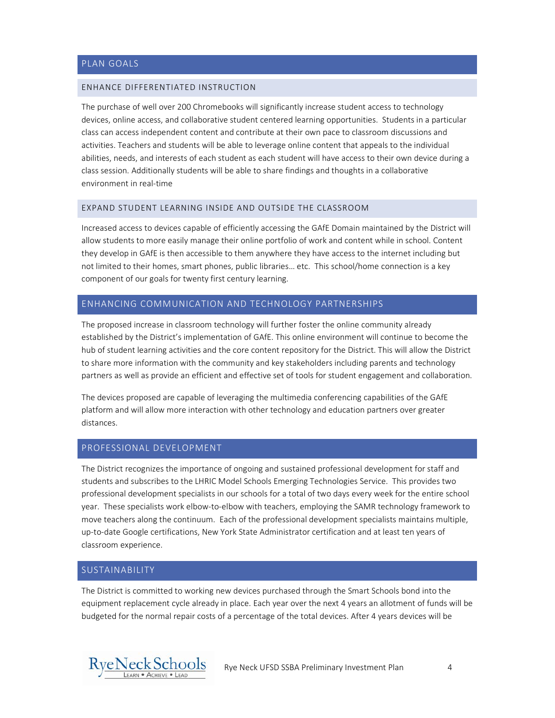#### <span id="page-3-1"></span><span id="page-3-0"></span>ENHANCE DIFFERENTIATED INSTRUCTION

The purchase of well over 200 Chromebooks will significantly increase student access to technology devices, online access, and collaborative student centered learning opportunities. Students in a particular class can access independent content and contribute at their own pace to classroom discussions and activities. Teachers and students will be able to leverage online content that appeals to the individual abilities, needs, and interests of each student as each student will have access to their own device during a class session. Additionally students will be able to share findings and thoughts in a collaborative environment in real-time

#### <span id="page-3-2"></span>EXPAND STUDENT LEARNING INSIDE AND OUTSIDE THE CLASSROOM

Increased access to devices capable of efficiently accessing the GAfE Domain maintained by the District will allow students to more easily manage their online portfolio of work and content while in school. Content they develop in GAfE is then accessible to them anywhere they have access to the internet including but not limited to their homes, smart phones, public libraries… etc. This school/home connection is a key component of our goals for twenty first century learning.

#### <span id="page-3-3"></span>ENHANCING COMMUNICATION AND TECHNOLOGY PARTNERSHIPS

The proposed increase in classroom technology will further foster the online community already established by the District's implementation of GAfE. This online environment will continue to become the hub of student learning activities and the core content repository for the District. This will allow the District to share more information with the community and key stakeholders including parents and technology partners as well as provide an efficient and effective set of tools for student engagement and collaboration.

The devices proposed are capable of leveraging the multimedia conferencing capabilities of the GAfE platform and will allow more interaction with other technology and education partners over greater distances.

#### <span id="page-3-4"></span>PROFESSIONAL DEVELOPMENT

The District recognizes the importance of ongoing and sustained professional development for staff and students and subscribes to the LHRIC Model Schools Emerging Technologies Service. This provides two professional development specialists in our schools for a total of two days every week for the entire school year. These specialists work elbow-to-elbow with teachers, employing the SAMR technology framework to move teachers along the continuum. Each of the professional development specialists maintains multiple, up-to-date Google certifications, New York State Administrator certification and at least ten years of classroom experience.

#### <span id="page-3-5"></span>SUSTAINABILITY

The District is committed to working new devices purchased through the Smart Schools bond into the equipment replacement cycle already in place. Each year over the next 4 years an allotment of funds will be budgeted for the normal repair costs of a percentage of the total devices. After 4 years devices will be